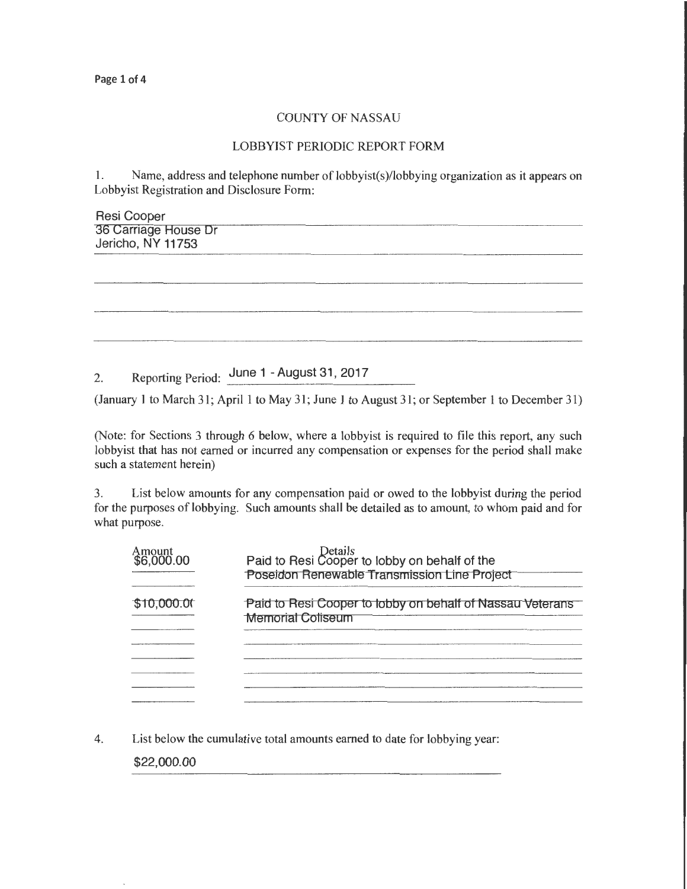## COUNTY OF NASSAU

## LOBBYIST PERIODIC REPORT FORM

1. Name, address and telephone number of lobbyist(s)/lobbying organization as it appears on Lobbyist Registration and Disclosure Form:

| Resi Cooper<br>36 Carriage House Dr<br>Jericho, NY 11753 |  |  |
|----------------------------------------------------------|--|--|
|                                                          |  |  |
|                                                          |  |  |
|                                                          |  |  |
|                                                          |  |  |
|                                                          |  |  |
|                                                          |  |  |
|                                                          |  |  |
|                                                          |  |  |
|                                                          |  |  |
|                                                          |  |  |
|                                                          |  |  |

2. Reporting Period: June 1 - August 31, 2017

(January 1 to March 31; April 1 to May 31; June 1 to August 31; or September 1 to December 31)

(Note: for Sections 3 through 6 below, where a lobbyist is required to file this report, any such lobbyist that has not earned or incurred any compensation or expenses for the period shall make such a statement herein)

3. List below amounts for any compensation paid or owed to the lobbyist during the period for the purposes of lobbying. Such amounts shall be detailed as to amount, to whom paid and for what purpose.

| Amount<br>\$6,000.00 | Details<br>Paid to Resi Cooper to lobby on behalf of the<br>Poseidon Renewable Transmission Line Project |
|----------------------|----------------------------------------------------------------------------------------------------------|
| \$10,000.00          | Paid to Resi Cooper to lobby on behalf of Nassau Veterans<br><b>Memorial Coliseum</b>                    |
|                      |                                                                                                          |
|                      |                                                                                                          |
|                      |                                                                                                          |
|                      |                                                                                                          |

4. List below the cumulative total amounts earned to date for lobbying year:

\$22,000.00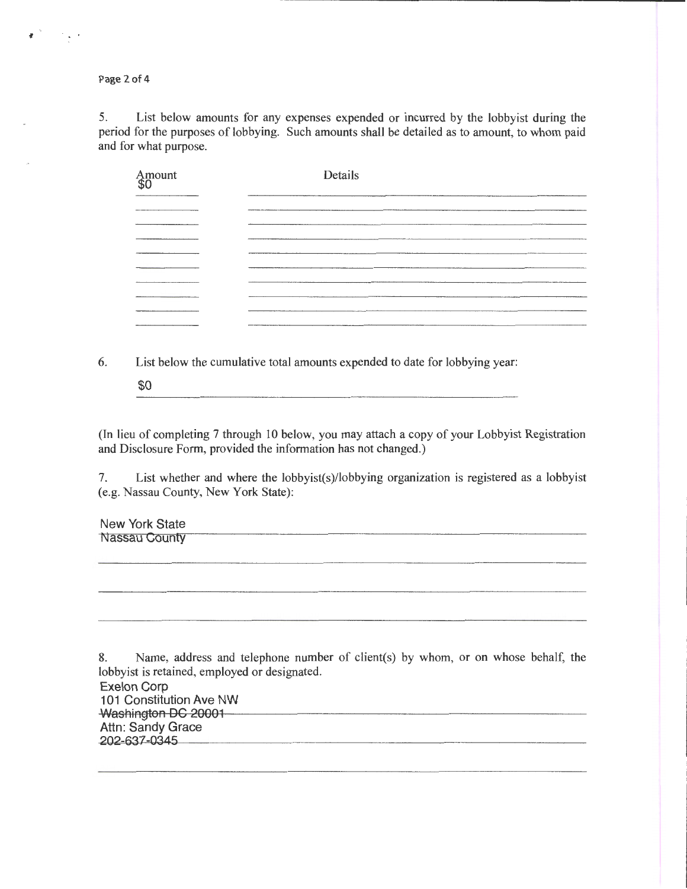Page 2 of 4

 $f(x) = f(x)$ 

5. List below amounts for any expenses expended or incurred by the lobbyist during the period for the purposes of lobbying. Such amounts shall be detailed as to amount, to whom paid and for what purpose.

| Amount<br>\$0 | Details<br>--------------------          |
|---------------|------------------------------------------|
|               |                                          |
|               |                                          |
|               | ______                                   |
|               |                                          |
|               |                                          |
|               |                                          |
|               | <b>The Company's Company's Company's</b> |
|               |                                          |
|               |                                          |

6. List below the cumulative total amounts expended to date for lobbying year:

\$0

(In lieu of completing 7 through 10 below, you may attach a copy of your Lobbyist Registration and Disclosure Form, provided the information has not changed.)

7. List whether and where the lobbyist(s)/lobbying organization is registered as a lobbyist (e.g. Nassau County, New York State):

New York State Nassau County

8. Name, address and telephone number of client(s) by whom, or on whose behalf, the lobbyist is retained, employed or designated. Exelon Corp 101 Constitution Ave NW Washington DC 20001 Attn: Sandy Grace 202-637-0345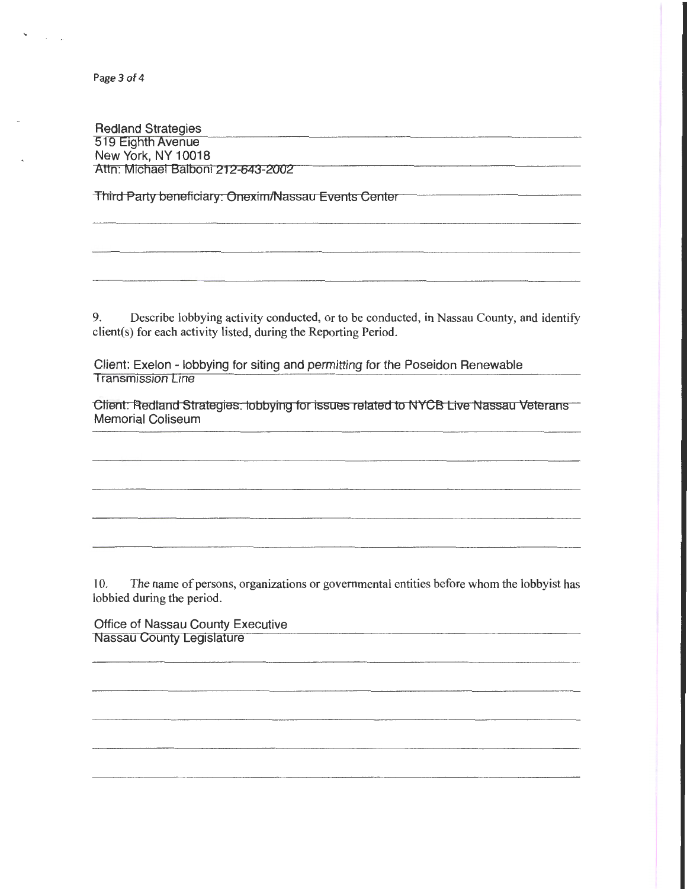Page 3 of 4

 $\ddot{\phantom{0}}$ 

 $\sim 10^{-1}$ 

Redland Strategies 519 E1ghth Avenue New York, NY 10018 Attn: Michael Balboni 212-643-2002

Third Party beneficiary: Onexim/Nassau Events Center

9. Describe lobbying activity conducted, or to be conducted, in Nassau County, and identify client(s) for each activity listed, during the Reporting Period.

Client: Exelon - lobbying for siting and permitting for the Poseidon Renewable **Transmission Line** 

Client. Redland Strategies. lobbying for issues related to NYCB Live Nassau Veterans Memorial Coliseum

10. The name of persons, organizations or governmental entities before whom the lobbyist has lobbied during the period.

Office of Nassau County Executive Nassau County Legislature